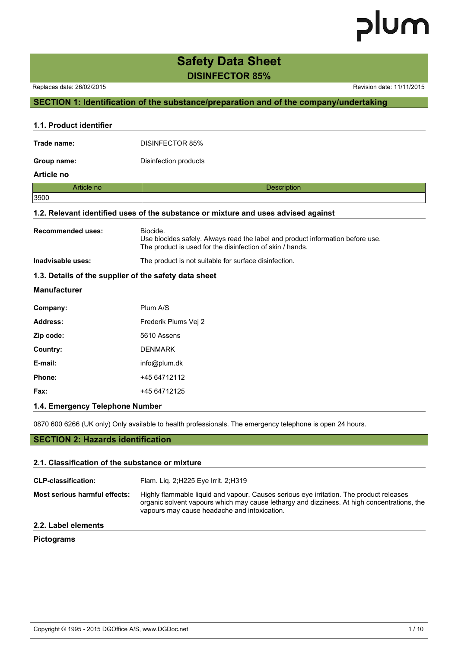### **Safety Data Sheet DISINFECTOR 85%**

Replaces date: 26/02/2015 **Replaces** date: 11/11/2015

#### **SECTION 1: Identification of the substance/preparation and of the company/undertaking**

| 1.1. Product identifier  |                                                                                                                                                         |
|--------------------------|---------------------------------------------------------------------------------------------------------------------------------------------------------|
| Trade name:              | <b>DISINFECTOR 85%</b>                                                                                                                                  |
| Group name:              | Disinfection products                                                                                                                                   |
| Article no               |                                                                                                                                                         |
| Article no               | <b>Description</b>                                                                                                                                      |
| 3900                     |                                                                                                                                                         |
|                          | 1.2. Relevant identified uses of the substance or mixture and uses advised against                                                                      |
| <b>Recommended uses:</b> | Biocide.<br>Use biocides safely. Always read the label and product information before use.<br>The product is used for the disinfection of skin / hands. |
| Inadvisable uses:        | The product is not suitable for surface disinfection.                                                                                                   |
|                          | 1.3. Details of the supplier of the safety data sheet                                                                                                   |
| <b>Manufacturer</b>      |                                                                                                                                                         |
| Company:                 | Plum A/S                                                                                                                                                |
| <b>Address:</b>          | Frederik Plums Vej 2                                                                                                                                    |
| Zip code:                | 5610 Assens                                                                                                                                             |
| Country:                 | <b>DENMARK</b>                                                                                                                                          |
| E-mail:                  | info@plum.dk                                                                                                                                            |
| Phone:                   | +45 64712112                                                                                                                                            |
| Fax:                     | +45 64712125                                                                                                                                            |
|                          |                                                                                                                                                         |

#### **1.4. Emergency Telephone Number**

0870 600 6266 (UK only) Only available to health professionals. The emergency telephone is open 24 hours.

#### **SECTION 2: Hazards identification**

#### **2.1. Classification of the substance or mixture**

| <b>CLP-classification:</b>    | Flam. Lig. 2; H225 Eye Irrit. 2; H319                                                                                                                                                                                                  |
|-------------------------------|----------------------------------------------------------------------------------------------------------------------------------------------------------------------------------------------------------------------------------------|
| Most serious harmful effects: | Highly flammable liquid and vapour. Causes serious eye irritation. The product releases<br>organic solvent vapours which may cause lethargy and dizziness. At high concentrations, the<br>vapours may cause headache and intoxication. |
|                               |                                                                                                                                                                                                                                        |

#### **2.2. Label elements**

#### **Pictograms**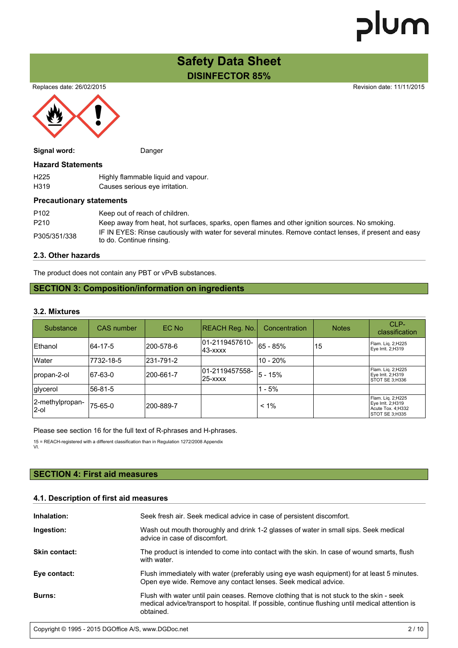### **Safety Data Sheet DISINFECTOR 85%**

Replaces date: 26/02/2015 **Replaces** date: 11/11/2015



| Signal word:             | Danger                                                                |  |
|--------------------------|-----------------------------------------------------------------------|--|
| <b>Hazard Statements</b> |                                                                       |  |
| H <sub>225</sub>         | Highly flammable liquid and vapour.                                   |  |
| H <sub>319</sub>         | Causes serious eye irritation.                                        |  |
|                          | <b>Precautionary statements</b>                                       |  |
| <b>DANO</b>              | l Alexandro and the following the state of the blood of the following |  |

| P <sub>102</sub> | Keep out of reach of children.                                                                                                      |
|------------------|-------------------------------------------------------------------------------------------------------------------------------------|
| P <sub>210</sub> | Keep away from heat, hot surfaces, sparks, open flames and other ignition sources. No smoking.                                      |
| P305/351/338     | IF IN EYES: Rinse cautiously with water for several minutes. Remove contact lenses, if present and easy<br>to do. Continue rinsing. |

#### **2.3. Other hazards**

The product does not contain any PBT or vPvB substances.

#### **SECTION 3: Composition/information on ingredients**

#### **3.2. Mixtures**

| Substance                | <b>CAS</b> number | EC No      | <b>REACH Reg. No.</b>      | Concentration | <b>Notes</b> | CLP-<br>classification                                                         |
|--------------------------|-------------------|------------|----------------------------|---------------|--------------|--------------------------------------------------------------------------------|
| Ethanol                  | 64-17-5           | l200-578-6 | 01-2119457610-<br>143-xxxx | 65 - 85%      | 15           | Flam. Lig. 2;H225<br>Eye Irrit. 2;H319                                         |
| lWater                   | 7732-18-5         | 231-791-2  |                            | $10 - 20%$    |              |                                                                                |
| propan-2-ol              | 67-63-0           | 200-661-7  | 01-2119457558-<br>125-xxxx | 5 - 15%       |              | Flam. Lig. 2;H225<br>Eye Irrit. 2;H319<br>STOT SE 3:H336                       |
| glycerol                 | 56-81-5           |            |                            | $1 - 5%$      |              |                                                                                |
| 2-methylpropan-<br>l2-ol | 75-65-0           | 200-889-7  |                            | $< 1\%$       |              | Flam. Lig. 2;H225<br>Eye Irrit. 2;H319<br>Acute Tox. 4; H332<br>STOT SE 3;H335 |

Please see section 16 for the full text of R-phrases and H-phrases.

15 = REACH-registered with a different classification than in Regulation 1272/2008 Appendix VI.

#### **SECTION 4: First aid measures**

#### **4.1. Description of first aid measures**

| Inhalation:          | Seek fresh air. Seek medical advice in case of persistent discomfort.                                                                                                                                    |
|----------------------|----------------------------------------------------------------------------------------------------------------------------------------------------------------------------------------------------------|
| Ingestion:           | Wash out mouth thoroughly and drink 1-2 glasses of water in small sips. Seek medical<br>advice in case of discomfort.                                                                                    |
| <b>Skin contact:</b> | The product is intended to come into contact with the skin. In case of wound smarts, flush<br>with water.                                                                                                |
| Eye contact:         | Flush immediately with water (preferably using eye wash equipment) for at least 5 minutes.<br>Open eye wide. Remove any contact lenses. Seek medical advice.                                             |
| <b>Burns:</b>        | Flush with water until pain ceases. Remove clothing that is not stuck to the skin - seek<br>medical advice/transport to hospital. If possible, continue flushing until medical attention is<br>obtained. |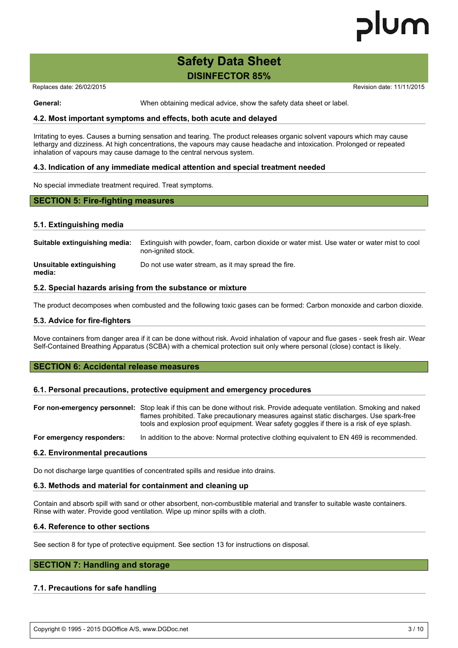### **Safety Data Sheet DISINFECTOR 85%**

Replaces date: 26/02/2015 Replaces date: 26/02/2015

**General:** When obtaining medical advice, show the safety data sheet or label.

#### **4.2. Most important symptoms and effects, both acute and delayed**

Irritating to eyes. Causes a burning sensation and tearing. The product releases organic solvent vapours which may cause lethargy and dizziness. At high concentrations, the vapours may cause headache and intoxication. Prolonged or repeated inhalation of vapours may cause damage to the central nervous system.

#### **4.3. Indication of any immediate medical attention and special treatment needed**

No special immediate treatment required. Treat symptoms.

#### **SECTION 5: Fire-fighting measures**

#### **5.1. Extinguishing media**

| Suitable extinguishing media:      | Extinguish with powder, foam, carbon dioxide or water mist. Use water or water mist to cool<br>non-ignited stock. |
|------------------------------------|-------------------------------------------------------------------------------------------------------------------|
| Unsuitable extinguishing<br>media: | Do not use water stream, as it may spread the fire.                                                               |

#### **5.2. Special hazards arising from the substance or mixture**

The product decomposes when combusted and the following toxic gases can be formed: Carbon monoxide and carbon dioxide.

#### **5.3. Advice for fire-fighters**

Move containers from danger area if it can be done without risk. Avoid inhalation of vapour and flue gases - seek fresh air. Wear Self-Contained Breathing Apparatus (SCBA) with a chemical protection suit only where personal (close) contact is likely.

#### **SECTION 6: Accidental release measures**

#### **6.1. Personal precautions, protective equipment and emergency procedures**

|                           | For non-emergency personnel: Stop leak if this can be done without risk. Provide adequate ventilation. Smoking and naked<br>flames prohibited. Take precautionary measures against static discharges. Use spark-free<br>tools and explosion proof equipment. Wear safety goggles if there is a risk of eye splash. |
|---------------------------|--------------------------------------------------------------------------------------------------------------------------------------------------------------------------------------------------------------------------------------------------------------------------------------------------------------------|
| For emergency responders: | In addition to the above: Normal protective clothing equivalent to EN 469 is recommended.                                                                                                                                                                                                                          |

#### **6.2. Environmental precautions**

Do not discharge large quantities of concentrated spills and residue into drains.

#### **6.3. Methods and material for containment and cleaning up**

Contain and absorb spill with sand or other absorbent, non-combustible material and transfer to suitable waste containers. Rinse with water. Provide good ventilation. Wipe up minor spills with a cloth.

#### **6.4. Reference to other sections**

See section 8 for type of protective equipment. See section 13 for instructions on disposal.

#### **SECTION 7: Handling and storage**

#### **7.1. Precautions for safe handling**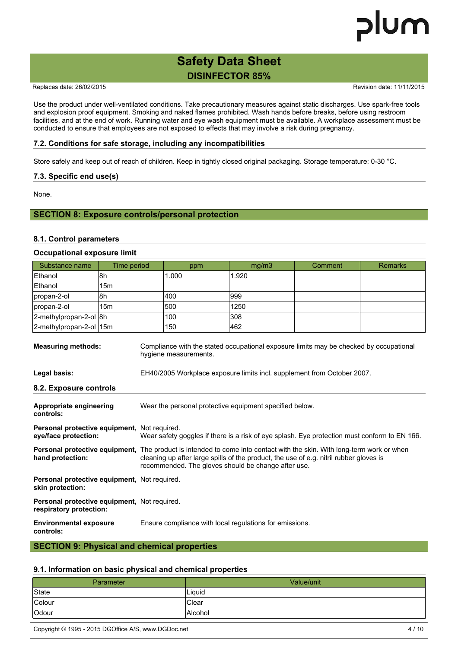### **Safety Data Sheet DISINFECTOR 85%**

Replaces date: 26/02/2015 **Replaces** date: 11/11/2015

Use the product under well-ventilated conditions. Take precautionary measures against static discharges. Use spark-free tools and explosion proof equipment. Smoking and naked flames prohibited. Wash hands before breaks, before using restroom facilities, and at the end of work. Running water and eye wash equipment must be available. A workplace assessment must be conducted to ensure that employees are not exposed to effects that may involve a risk during pregnancy.

#### **7.2. Conditions for safe storage, including any incompatibilities**

Store safely and keep out of reach of children. Keep in tightly closed original packaging. Storage temperature: 0-30 °C.

#### **7.3. Specific end use(s)**

None.

#### **SECTION 8: Exposure controls/personal protection**

#### **8.1. Control parameters**

#### **Occupational exposure limit**

| Substance name                                                                                                                               | Time period     |                                                                                                                                                                                                                                                                         | ppm   | mg/m3 | Comment                                                                 | <b>Remarks</b> |
|----------------------------------------------------------------------------------------------------------------------------------------------|-----------------|-------------------------------------------------------------------------------------------------------------------------------------------------------------------------------------------------------------------------------------------------------------------------|-------|-------|-------------------------------------------------------------------------|----------------|
| Ethanol                                                                                                                                      | 8h              |                                                                                                                                                                                                                                                                         | 1.000 | 1.920 |                                                                         |                |
| Ethanol                                                                                                                                      | 15 <sub>m</sub> |                                                                                                                                                                                                                                                                         |       |       |                                                                         |                |
| propan-2-ol                                                                                                                                  | 8h              |                                                                                                                                                                                                                                                                         | 400   | 999   |                                                                         |                |
| propan-2-ol                                                                                                                                  | 15 <sub>m</sub> |                                                                                                                                                                                                                                                                         | 500   | 1250  |                                                                         |                |
| 2-methylpropan-2-ol 8h                                                                                                                       |                 |                                                                                                                                                                                                                                                                         | 100   | 308   |                                                                         |                |
| 2-methylpropan-2-ol 15m                                                                                                                      |                 |                                                                                                                                                                                                                                                                         | 150   | 462   |                                                                         |                |
| <b>Measuring methods:</b><br>Compliance with the stated occupational exposure limits may be checked by occupational<br>hygiene measurements. |                 |                                                                                                                                                                                                                                                                         |       |       |                                                                         |                |
| Legal basis:                                                                                                                                 |                 |                                                                                                                                                                                                                                                                         |       |       | EH40/2005 Workplace exposure limits incl. supplement from October 2007. |                |
| 8.2. Exposure controls                                                                                                                       |                 |                                                                                                                                                                                                                                                                         |       |       |                                                                         |                |
| Appropriate engineering<br>controls:                                                                                                         |                 | Wear the personal protective equipment specified below.                                                                                                                                                                                                                 |       |       |                                                                         |                |
| Personal protective equipment, Not required.<br>eye/face protection:                                                                         |                 | Wear safety goggles if there is a risk of eye splash. Eye protection must conform to EN 166.                                                                                                                                                                            |       |       |                                                                         |                |
| hand protection:                                                                                                                             |                 | Personal protective equipment, The product is intended to come into contact with the skin. With long-term work or when<br>cleaning up after large spills of the product, the use of e.g. nitril rubber gloves is<br>recommended. The gloves should be change after use. |       |       |                                                                         |                |
| Personal protective equipment, Not required.<br>skin protection:                                                                             |                 |                                                                                                                                                                                                                                                                         |       |       |                                                                         |                |
| Personal protective equipment, Not required.<br>respiratory protection:                                                                      |                 |                                                                                                                                                                                                                                                                         |       |       |                                                                         |                |
| <b>Environmental exposure</b><br>controls:                                                                                                   |                 | Ensure compliance with local regulations for emissions.                                                                                                                                                                                                                 |       |       |                                                                         |                |

#### **SECTION 9: Physical and chemical properties**

#### **9.1. Information on basic physical and chemical properties**

| Parameter | Value/unit     |
|-----------|----------------|
| State     | Liguid         |
| Colour    | <b>Clear</b>   |
| Odour     | <b>Alcohol</b> |

Copyright © 1995 - 2015 DGOffice A/S, www.DGDoc.net 4 / 10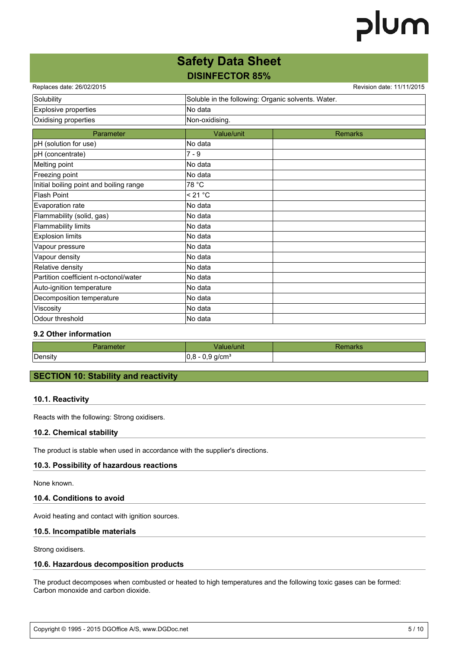### **Safety Data Sheet DISINFECTOR 85%**

| Replaces date: 26/02/2015               |                                                    | Revision date: 11/11/2015 |  |
|-----------------------------------------|----------------------------------------------------|---------------------------|--|
| Solubility                              | Soluble in the following: Organic solvents. Water. |                           |  |
| Explosive properties                    | No data                                            |                           |  |
| Oxidising properties                    | Non-oxidising.                                     |                           |  |
| Parameter                               | Value/unit                                         | <b>Remarks</b>            |  |
| pH (solution for use)                   | No data                                            |                           |  |
| pH (concentrate)                        | $7 - 9$                                            |                           |  |
| Melting point                           | No data                                            |                           |  |
| Freezing point                          | No data                                            |                           |  |
| Initial boiling point and boiling range | 78 °C                                              |                           |  |
| <b>Flash Point</b>                      | < 21 °C                                            |                           |  |
| Evaporation rate                        | No data                                            |                           |  |
| Flammability (solid, gas)               | No data                                            |                           |  |
| <b>Flammability limits</b>              | No data                                            |                           |  |
| <b>Explosion limits</b>                 | No data                                            |                           |  |
| Vapour pressure                         | No data                                            |                           |  |
| Vapour density                          | No data                                            |                           |  |
| Relative density                        | No data                                            |                           |  |
| Partition coefficient n-octonol/water   | No data                                            |                           |  |
| Auto-ignition temperature               | No data                                            |                           |  |
| Decomposition temperature               | No data                                            |                           |  |
| Viscosity                               | No data                                            |                           |  |
| Odour threshold                         | No data                                            |                           |  |

#### **9.2 Other information**

| ameter<br>-- | alue/unit                     | наглэ |
|--------------|-------------------------------|-------|
| Density      | q/cm <sup>3</sup><br>ັ<br>. . |       |

#### **SECTION 10: Stability and reactivity**

#### **10.1. Reactivity**

Reacts with the following: Strong oxidisers.

#### **10.2. Chemical stability**

The product is stable when used in accordance with the supplier's directions.

#### **10.3. Possibility of hazardous reactions**

None known.

#### **10.4. Conditions to avoid**

Avoid heating and contact with ignition sources.

#### **10.5. Incompatible materials**

Strong oxidisers.

#### **10.6. Hazardous decomposition products**

The product decomposes when combusted or heated to high temperatures and the following toxic gases can be formed: Carbon monoxide and carbon dioxide.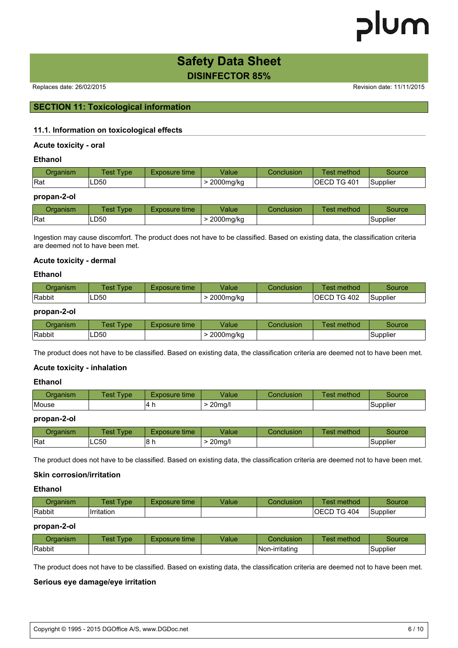### **Safety Data Sheet DISINFECTOR 85%**

Replaces date: 26/02/2015 **Replaces** date: 11/11/2015

#### **SECTION 11: Toxicological information**

#### **11.1. Information on toxicological effects**

#### **Acute toxicity - oral**

#### **Ethanol**

| ⊃rɑanısm | $1est$ <sup><math>\tau</math></sup><br><b>vpe</b> | Exposure time | Value     | Conclusion | method<br>est  | source   |
|----------|---------------------------------------------------|---------------|-----------|------------|----------------|----------|
| Rat      | ∟D50                                              |               | 2000mg/kg |            | TG 401<br>OECD | Supplier |

#### **propan-2-ol**

| )rɑanısm | est:<br>$T$ vpe $\sim$ | time<br>Exposure≒ | Value     | Conclusion | _<br>method<br>est | source        |
|----------|------------------------|-------------------|-----------|------------|--------------------|---------------|
| Rat      | LD50                   |                   | 2000mg/kg |            |                    | .<br>Supplier |

Ingestion may cause discomfort. The product does not have to be classified. Based on existing data, the classification criteria are deemed not to have been met.

#### **Acute toxicity - dermal**

#### **Ethanol**

| Draanism | $Test \nightharpoondown$<br>vpe <sup>-</sup> | Exposure time | √alue     | Conclusion | method<br>⊺est | source   |
|----------|----------------------------------------------|---------------|-----------|------------|----------------|----------|
| Rabbit   | LD50                                         |               | 2000mg/kg |            | IOECD TG 402   | Supplier |

#### **propan-2-ol**

| ⊃rɑanısm | Test<br>vpe <sup>-</sup> | Exposure time | Value     | Conclusion | method<br><b>est</b> | source          |
|----------|--------------------------|---------------|-----------|------------|----------------------|-----------------|
| Rabbit   | ∟D50                     |               | 2000mg/kg |            |                      | <b>Supplier</b> |

The product does not have to be classified. Based on existing data, the classification criteria are deemed not to have been met.

#### **Acute toxicity - inhalation**

#### **Ethanol**

| ⊃rɑanısm | TestT<br><b>vpe</b> | Exposure time | Value            | Conclusion | $-$<br><b>Fest method</b> | source          |
|----------|---------------------|---------------|------------------|------------|---------------------------|-----------------|
| Mouse    |                     | 14<br>.       | 20 <sub>ma</sub> |            |                           | <b>Supplier</b> |

#### **propan-2-ol**

| Drɑanısm | est<br><b>vpe</b> | 'Exposure time | Value | Conclusion | $\sim$<br>. .<br>method<br>es: | source   |
|----------|-------------------|----------------|-------|------------|--------------------------------|----------|
| Rat      | LC50              | 18 h           | 20mg/ |            |                                | Supplier |

The product does not have to be classified. Based on existing data, the classification criteria are deemed not to have been met.

#### **Skin corrosion/irritation**

#### **Ethanol**

| ⊃rɑanısm | Test<br><b>vpe</b> | Exposure time' | <b>Value</b> | Conclusion | method<br>' est        | source   |
|----------|--------------------|----------------|--------------|------------|------------------------|----------|
| Rabbit   | .<br>Irritation    |                |              |            | TG 404<br><b>IOECD</b> | Supplier |

#### **propan-2-ol**

| )rɑanısm | <b>est</b><br>vpe | time<br>osure | /alue | Conclusion     | method<br>es: | 'ource       |
|----------|-------------------|---------------|-------|----------------|---------------|--------------|
| Rabbit   |                   |               |       | Non-irritating |               | <br>Supplier |

The product does not have to be classified. Based on existing data, the classification criteria are deemed not to have been met.

#### **Serious eye damage/eye irritation**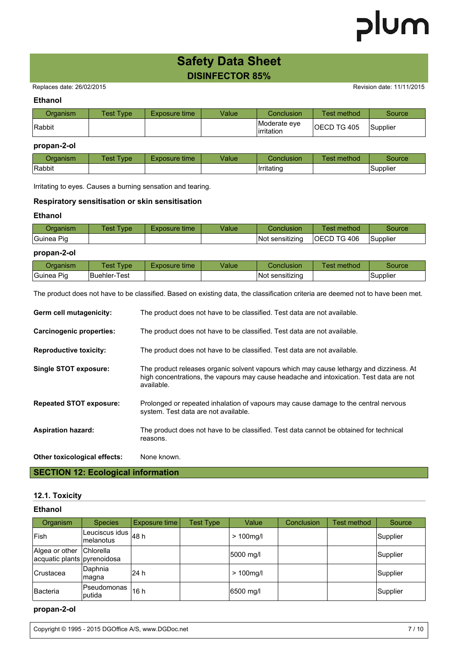### **Safety Data Sheet DISINFECTOR 85%**

Replaces date: 26/02/2015 **Replaces** date: 26/02/2015

#### **Ethanol**

| Drɑanism | <b>Test Type</b> | Exposure time | Value | Conclusion                  | Test method         | <b>Source</b> |
|----------|------------------|---------------|-------|-----------------------------|---------------------|---------------|
| Rabbit   |                  |               |       | Moderate eve<br>lirritation | <b>IOECD TG 405</b> | Supplier      |

#### **propan-2-ol**

| )rɑanısm      | Fest Tvpe | time<br>Exposure | Value | Conclusion | _<br>method<br>est. | source         |
|---------------|-----------|------------------|-------|------------|---------------------|----------------|
| <b>Rabbit</b> |           |                  |       | Irritating |                     | .<br>,Supplier |

Irritating to eyes. Causes a burning sensation and tearing.

#### **Respiratory sensitisation or skin sensitisation**

#### **Ethanol**

| ⊃rɑanısm       | <b>vpe</b><br>est | time<br>Exposure | √alue | Conclusion           | method<br>lest.     | Source   |
|----------------|-------------------|------------------|-------|----------------------|---------------------|----------|
| Pia<br> Guinea |                   |                  |       | .<br>Not sensitizing | <b>IOECD TG 406</b> | Supplier |

#### **propan-2-ol**

| Draanism   | est<br><b>vpe</b> | Exposure time | √alue | Conclusion                 | method<br>est | source          |
|------------|-------------------|---------------|-------|----------------------------|---------------|-----------------|
| Guinea Pig | IBuehler-Test     |               |       | .<br>∶sensıtızına<br>INot. |               | <b>Supplier</b> |

The product does not have to be classified. Based on existing data, the classification criteria are deemed not to have been met.

| Germ cell mutagenicity:         | The product does not have to be classified. Test data are not available.                                                                                                                         |
|---------------------------------|--------------------------------------------------------------------------------------------------------------------------------------------------------------------------------------------------|
| <b>Carcinogenic properties:</b> | The product does not have to be classified. Test data are not available.                                                                                                                         |
| <b>Reproductive toxicity:</b>   | The product does not have to be classified. Test data are not available.                                                                                                                         |
| Single STOT exposure:           | The product releases organic solvent vapours which may cause lethargy and dizziness. At<br>high concentrations, the vapours may cause headache and intoxication. Test data are not<br>available. |
| <b>Repeated STOT exposure:</b>  | Prolonged or repeated inhalation of vapours may cause damage to the central nervous<br>system. Test data are not available.                                                                      |
| <b>Aspiration hazard:</b>       | The product does not have to be classified. Test data cannot be obtained for technical<br>reasons.                                                                                               |
| Other toxicological effects:    | None known.                                                                                                                                                                                      |

### **SECTION 12: Ecological information**

#### **12.1. Toxicity**

| Ethanol |
|---------|
|---------|

| Organism                                                | <b>Species</b>               | Exposure time | <b>Test Type</b> | Value        | Conclusion | Test method | Source   |
|---------------------------------------------------------|------------------------------|---------------|------------------|--------------|------------|-------------|----------|
| <b> Fish</b>                                            | Leuciscus idus<br>Imelanotus | 48 h          |                  | $> 100$ mg/l |            |             | Supplier |
| Algea or other Chlorella<br>acquatic plants pyrenoidosa |                              |               |                  | 5000 mg/l    |            |             | Supplier |
| Crustacea                                               | Daphnia<br> magna            | l24 h         |                  | $> 100$ mg/l |            |             | Supplier |
| Bacteria                                                | Pseudomonas<br>Iputida       | 16 h          |                  | 6500 mg/l    |            |             | Supplier |

#### **propan-2-ol**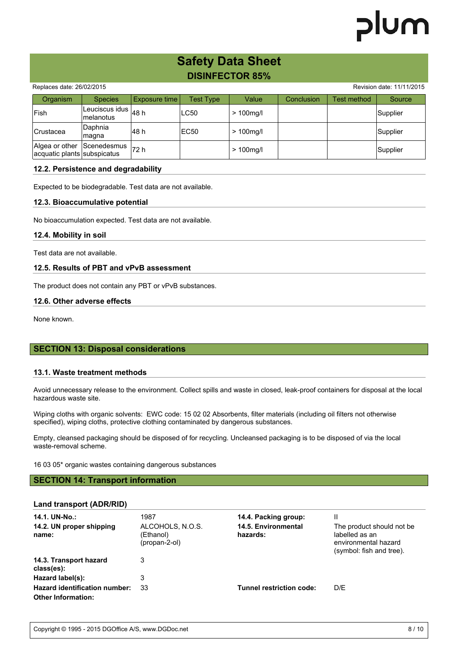# lum

### **Safety Data Sheet DISINFECTOR 85%**

|                                                           |                                        |               |             | <u>PN 11 - 9 I 9 I 1 0 7 II</u> |                   |             |                           |
|-----------------------------------------------------------|----------------------------------------|---------------|-------------|---------------------------------|-------------------|-------------|---------------------------|
| Replaces date: 26/02/2015                                 |                                        |               |             |                                 |                   |             | Revision date: 11/11/2015 |
| Organism                                                  | <b>Species</b>                         | Exposure time | Test Type   | Value                           | <b>Conclusion</b> | Test method | Source                    |
| <b> Fish</b>                                              | Leuciscus idus $ _{48}$ h<br>melanotus |               | <b>LC50</b> | $>100$ mg/l                     |                   |             | Supplier                  |
| <b>Crustacea</b>                                          | Daphnia<br>magna                       | l48 h         | EC50        | $>100$ mg/l                     |                   |             | Supplier                  |
| Algea or other Scenedesmus<br>acquatic plants subspicatus |                                        | 72 h          |             | $>100$ mg/l                     |                   |             | Supplier                  |

#### **12.2. Persistence and degradability**

Expected to be biodegradable. Test data are not available.

#### **12.3. Bioaccumulative potential**

No bioaccumulation expected. Test data are not available.

#### **12.4. Mobility in soil**

Test data are not available.

#### **12.5. Results of PBT and vPvB assessment**

The product does not contain any PBT or vPvB substances.

#### **12.6. Other adverse effects**

None known.

#### **SECTION 13: Disposal considerations**

#### **13.1. Waste treatment methods**

Avoid unnecessary release to the environment. Collect spills and waste in closed, leak-proof containers for disposal at the local hazardous waste site.

Wiping cloths with organic solvents: EWC code: 15 02 02 Absorbents, filter materials (including oil filters not otherwise specified), wiping cloths, protective clothing contaminated by dangerous substances.

Empty, cleansed packaging should be disposed of for recycling. Uncleansed packaging is to be disposed of via the local waste-removal scheme.

16 03 05\* organic wastes containing dangerous substances

#### **SECTION 14: Transport information**

#### **Land transport (ADR/RID)**

| 14.1. UN-No.:<br>14.2. UN proper shipping<br>name:                | 1987<br>ALCOHOLS, N.O.S.<br>(Ethanol)<br>(propan-2-ol) | 14.4. Packing group:<br>14.5. Environmental<br>hazards: | Ш<br>The product should not be.<br>labelled as an<br>environmental hazard<br>(symbol: fish and tree). |
|-------------------------------------------------------------------|--------------------------------------------------------|---------------------------------------------------------|-------------------------------------------------------------------------------------------------------|
| 14.3. Transport hazard<br>class(es):                              | 3                                                      |                                                         |                                                                                                       |
| Hazard label(s):                                                  | 3                                                      |                                                         |                                                                                                       |
| <b>Hazard identification number:</b><br><b>Other Information:</b> | 33                                                     | Tunnel restriction code:                                | D/E                                                                                                   |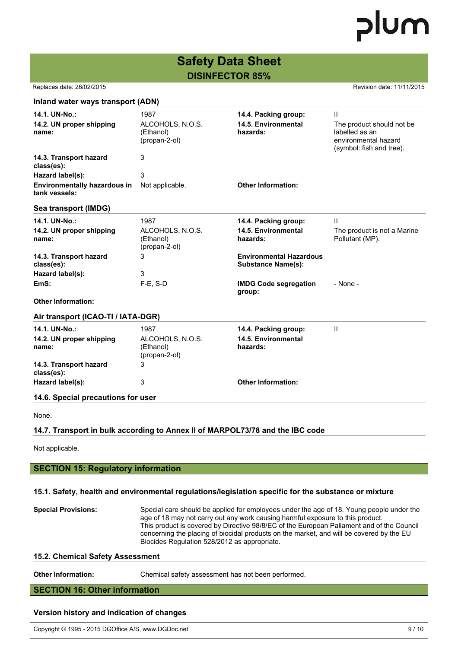# **Safety Data Sheet**

**DISINFECTOR 85%**

Replaces date: 26/02/2015 **Replaces** date: 11/11/2015

| Inland water ways transport (ADN)                                        |                                                        |                                                             |                                                                                                      |
|--------------------------------------------------------------------------|--------------------------------------------------------|-------------------------------------------------------------|------------------------------------------------------------------------------------------------------|
| 14.1. UN-No.:<br>14.2. UN proper shipping<br>name:                       | 1987<br>ALCOHOLS, N.O.S.<br>(Ethanol)<br>(propan-2-ol) | 14.4. Packing group:<br>14.5. Environmental<br>hazards:     | Ш<br>The product should not be<br>labelled as an<br>environmental hazard<br>(symbol: fish and tree). |
| 14.3. Transport hazard<br>class(es):                                     | 3                                                      |                                                             |                                                                                                      |
| Hazard label(s):<br><b>Environmentally hazardous in</b><br>tank vessels: | 3<br>Not applicable.                                   | <b>Other Information:</b>                                   |                                                                                                      |
| Sea transport (IMDG)                                                     |                                                        |                                                             |                                                                                                      |
| 14.1. UN-No.:<br>14.2. UN proper shipping<br>name:                       | 1987<br>ALCOHOLS, N.O.S.<br>(Ethanol)<br>(propan-2-ol) | 14.4. Packing group:<br>14.5. Environmental<br>hazards:     | Ш<br>The product is not a Marine<br>Pollutant (MP).                                                  |
| 14.3. Transport hazard<br>class(es):                                     | 3                                                      | <b>Environmental Hazardous</b><br><b>Substance Name(s):</b> |                                                                                                      |
| Hazard label(s):<br>EmS:                                                 | 3<br>F-E, S-D                                          | <b>IMDG Code segregation</b><br>group:                      | - None -                                                                                             |
| <b>Other Information:</b>                                                |                                                        |                                                             |                                                                                                      |
| Air transport (ICAO-TI / IATA-DGR)                                       |                                                        |                                                             |                                                                                                      |
| 14.1. UN-No.:<br>14.2. UN proper shipping<br>name:                       | 1987<br>ALCOHOLS, N.O.S.<br>(Ethanol)<br>(propan-2-ol) | 14.4. Packing group:<br>14.5. Environmental<br>hazards:     | $\mathbf{I}$                                                                                         |
| 14.3. Transport hazard<br>class(es):                                     | 3                                                      |                                                             |                                                                                                      |
| Hazard label(s):                                                         | 3                                                      | <b>Other Information:</b>                                   |                                                                                                      |
| 14.6. Special precautions for user                                       |                                                        |                                                             |                                                                                                      |
| None.                                                                    |                                                        |                                                             |                                                                                                      |
|                                                                          |                                                        |                                                             |                                                                                                      |

#### **14.7. Transport in bulk according to Annex II of MARPOL73/78 and the IBC code**

Not applicable.

**SECTION 15: Regulatory information**

#### **15.1. Safety, health and environmental regulations/legislation specific for the substance or mixture**

| <b>Special Provisions:</b> | Special care should be applied for employees under the age of 18. Young people under the<br>age of 18 may not carry out any work causing harmful exposure to this product.<br>This product is covered by Directive 98/8/EC of the European Paliament and of the Council<br>concerning the placing of biocidal products on the market, and will be covered by the EU<br>Biocides Regulation 528/2012 as appropriate. |
|----------------------------|---------------------------------------------------------------------------------------------------------------------------------------------------------------------------------------------------------------------------------------------------------------------------------------------------------------------------------------------------------------------------------------------------------------------|
|                            |                                                                                                                                                                                                                                                                                                                                                                                                                     |

#### **15.2. Chemical Safety Assessment**

| <b>Other Information:</b> | Chemical safety assessment has not been performed. |
|---------------------------|----------------------------------------------------|
|---------------------------|----------------------------------------------------|

### **SECTION 16: Other information**

#### **Version history and indication of changes**

| Copyright © 1995 - 2015 DGOffice A/S, www.DGDoc.net | 9/10 |
|-----------------------------------------------------|------|
|-----------------------------------------------------|------|